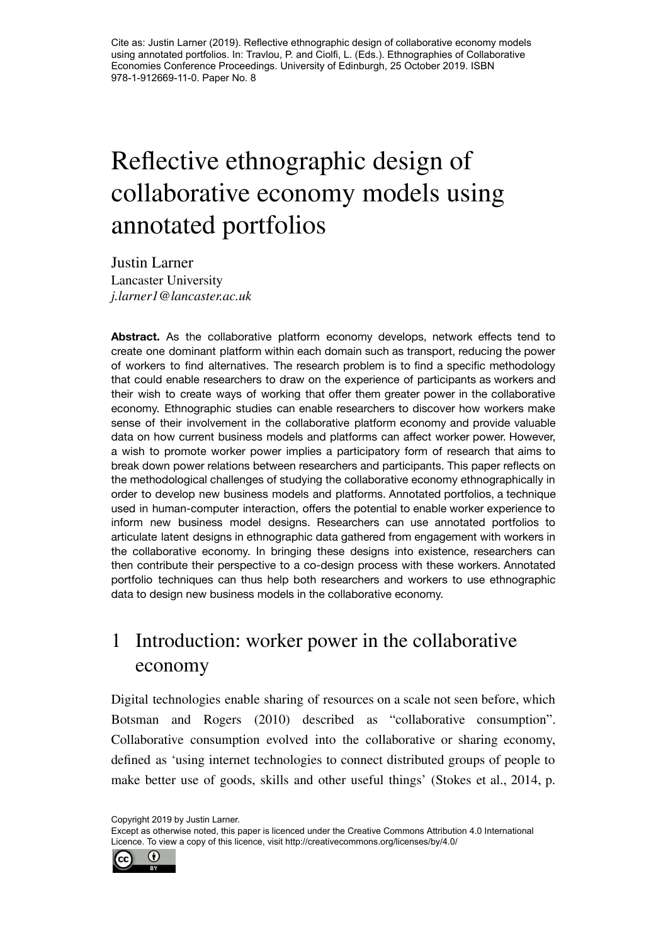Cite as: Justin Larner (2019). Reflective ethnographic design of collaborative economy models using annotated portfolios. In: Travlou, P. and Ciolfi, L. (Eds.). Ethnographies of Collaborative Economies Conference Proceedings. University of Edinburgh, 25 October 2019. ISBN 978-1-912669-11-0. Paper No. 8

# Reflective ethnographic design of collaborative economy models using annotated portfolios

Justin Larner Lancaster University *j.larner1@lancaster.ac.uk*

**Abstract.** As the collaborative platform economy develops, network effects tend to create one dominant platform within each domain such as transport, reducing the power of workers to find alternatives. The research problem is to find a specific methodology that could enable researchers to draw on the experience of participants as workers and their wish to create ways of working that offer them greater power in the collaborative economy. Ethnographic studies can enable researchers to discover how workers make sense of their involvement in the collaborative platform economy and provide valuable data on how current business models and platforms can affect worker power. However, a wish to promote worker power implies a participatory form of research that aims to break down power relations between researchers and participants. This paper reflects on the methodological challenges of studying the collaborative economy ethnographically in order to develop new business models and platforms. Annotated portfolios, a technique used in human-computer interaction, offers the potential to enable worker experience to inform new business model designs. Researchers can use annotated portfolios to articulate latent designs in ethnographic data gathered from engagement with workers in the collaborative economy. In bringing these designs into existence, researchers can then contribute their perspective to a co-design process with these workers. Annotated portfolio techniques can thus help both researchers and workers to use ethnographic data to design new business models in the collaborative economy.

## 1 Introduction: worker power in the collaborative economy

Digital technologies enable sharing of resources on a scale not seen before, which Botsman and Rogers (2010) described as "collaborative consumption". Collaborative consumption evolved into the collaborative or sharing economy, defined as 'using internet technologies to connect distributed groups of people to make better use of goods, skills and other useful things' (Stokes et al., 2014, p.

Copyright 2019 by Justin Larner.

Except as otherwise noted, this paper is licenced under the Creative Commons Attribution 4.0 International Licence. To view a copy of this licence, visit http://creativecommons.org/licenses/by/4.0/

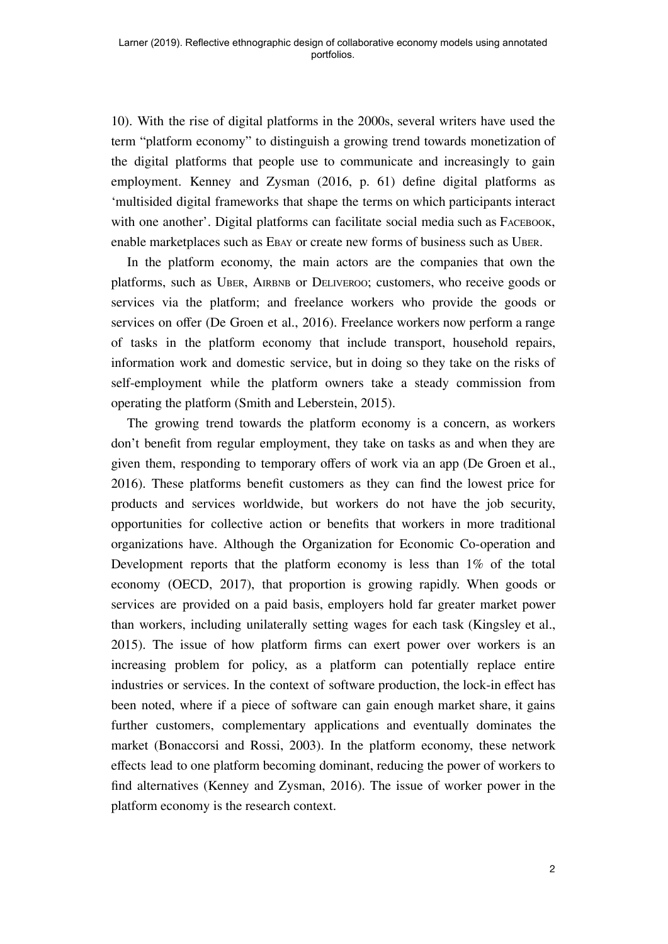10). With the rise of digital platforms in the 2000s, several writers have used the term "platform economy" to distinguish a growing trend towards monetization of the digital platforms that people use to communicate and increasingly to gain employment. Kenney and Zysman (2016, p. 61) define digital platforms as 'multisided digital frameworks that shape the terms on which participants interact with one another'. Digital platforms can facilitate social media such as FACEBOOK, enable marketplaces such as EBAY or create new forms of business such as UBER.

In the platform economy, the main actors are the companies that own the platforms, such as UBER, AIRBNB or DELIVEROO; customers, who receive goods or services via the platform; and freelance workers who provide the goods or services on offer (De Groen et al., 2016). Freelance workers now perform a range of tasks in the platform economy that include transport, household repairs, information work and domestic service, but in doing so they take on the risks of self-employment while the platform owners take a steady commission from operating the platform (Smith and Leberstein, 2015).

The growing trend towards the platform economy is a concern, as workers don't benefit from regular employment, they take on tasks as and when they are given them, responding to temporary offers of work via an app (De Groen et al., 2016). These platforms benefit customers as they can find the lowest price for products and services worldwide, but workers do not have the job security, opportunities for collective action or benefits that workers in more traditional organizations have. Although the Organization for Economic Co-operation and Development reports that the platform economy is less than 1% of the total economy (OECD, 2017), that proportion is growing rapidly. When goods or services are provided on a paid basis, employers hold far greater market power than workers, including unilaterally setting wages for each task (Kingsley et al., 2015). The issue of how platform firms can exert power over workers is an increasing problem for policy, as a platform can potentially replace entire industries or services. In the context of software production, the lock-in effect has been noted, where if a piece of software can gain enough market share, it gains further customers, complementary applications and eventually dominates the market (Bonaccorsi and Rossi, 2003). In the platform economy, these network effects lead to one platform becoming dominant, reducing the power of workers to find alternatives (Kenney and Zysman, 2016). The issue of worker power in the platform economy is the research context.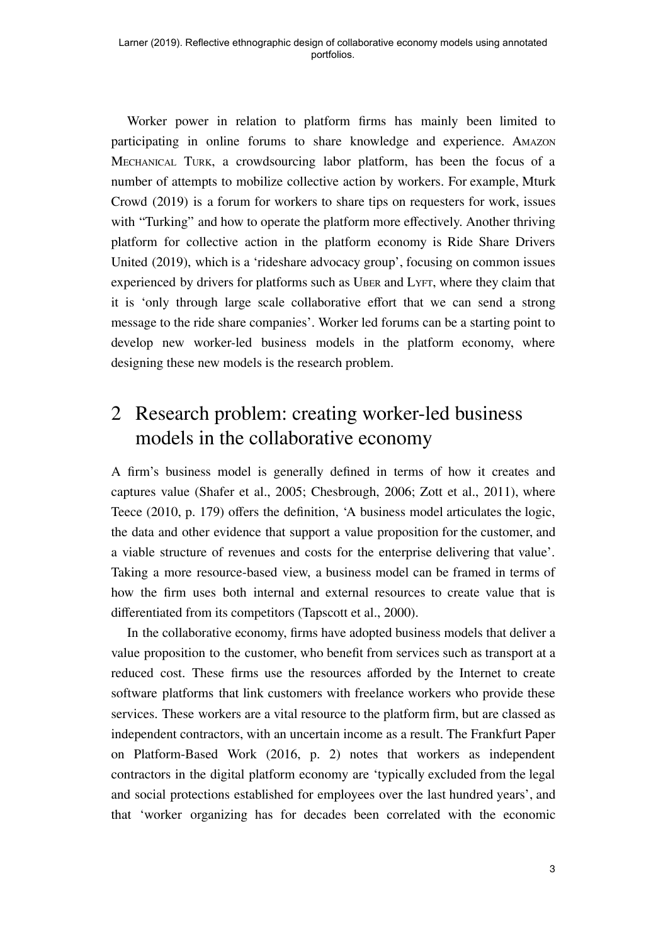Worker power in relation to platform firms has mainly been limited to participating in online forums to share knowledge and experience. AMAZON MECHANICAL TURK, a crowdsourcing labor platform, has been the focus of a number of attempts to mobilize collective action by workers. For example, Mturk Crowd (2019) is a forum for workers to share tips on requesters for work, issues with "Turking" and how to operate the platform more effectively. Another thriving platform for collective action in the platform economy is Ride Share Drivers United (2019), which is a 'rideshare advocacy group', focusing on common issues experienced by drivers for platforms such as UBER and LYFT, where they claim that it is 'only through large scale collaborative effort that we can send a strong message to the ride share companies'. Worker led forums can be a starting point to develop new worker-led business models in the platform economy, where designing these new models is the research problem.

## 2 Research problem: creating worker-led business models in the collaborative economy

A firm's business model is generally defined in terms of how it creates and captures value (Shafer et al., 2005; Chesbrough, 2006; Zott et al., 2011), where Teece (2010, p. 179) offers the definition, 'A business model articulates the logic, the data and other evidence that support a value proposition for the customer, and a viable structure of revenues and costs for the enterprise delivering that value'. Taking a more resource-based view, a business model can be framed in terms of how the firm uses both internal and external resources to create value that is differentiated from its competitors (Tapscott et al., 2000).

In the collaborative economy, firms have adopted business models that deliver a value proposition to the customer, who benefit from services such as transport at a reduced cost. These firms use the resources afforded by the Internet to create software platforms that link customers with freelance workers who provide these services. These workers are a vital resource to the platform firm, but are classed as independent contractors, with an uncertain income as a result. The Frankfurt Paper on Platform-Based Work (2016, p. 2) notes that workers as independent contractors in the digital platform economy are 'typically excluded from the legal and social protections established for employees over the last hundred years', and that 'worker organizing has for decades been correlated with the economic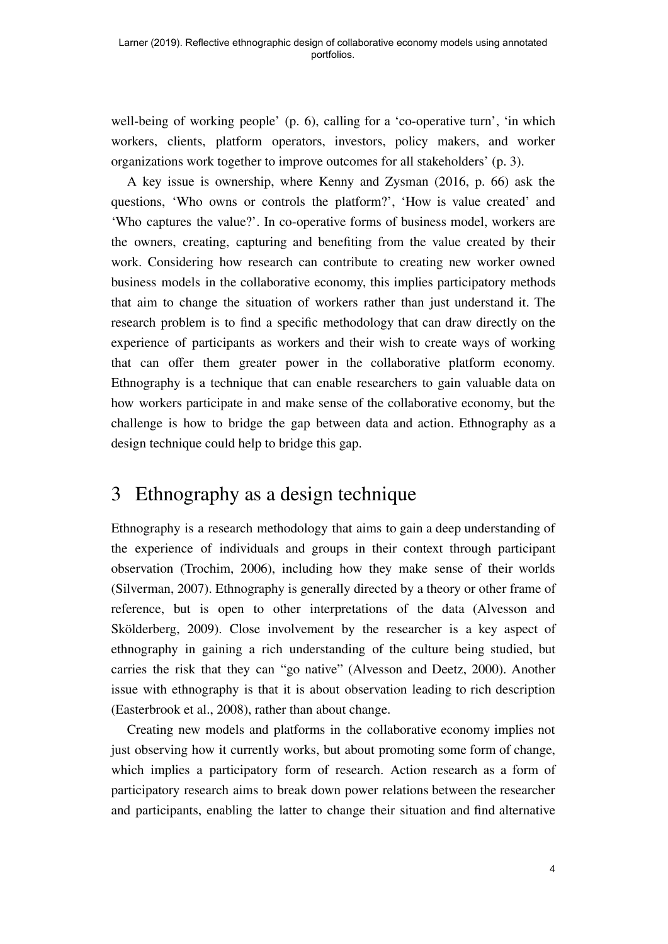well-being of working people' (p. 6), calling for a 'co-operative turn', 'in which workers, clients, platform operators, investors, policy makers, and worker organizations work together to improve outcomes for all stakeholders' (p. 3).

A key issue is ownership, where Kenny and Zysman (2016, p. 66) ask the questions, 'Who owns or controls the platform?', 'How is value created' and 'Who captures the value?'. In co-operative forms of business model, workers are the owners, creating, capturing and benefiting from the value created by their work. Considering how research can contribute to creating new worker owned business models in the collaborative economy, this implies participatory methods that aim to change the situation of workers rather than just understand it. The research problem is to find a specific methodology that can draw directly on the experience of participants as workers and their wish to create ways of working that can offer them greater power in the collaborative platform economy. Ethnography is a technique that can enable researchers to gain valuable data on how workers participate in and make sense of the collaborative economy, but the challenge is how to bridge the gap between data and action. Ethnography as a design technique could help to bridge this gap.

#### 3 Ethnography as a design technique

Ethnography is a research methodology that aims to gain a deep understanding of the experience of individuals and groups in their context through participant observation (Trochim, 2006), including how they make sense of their worlds (Silverman, 2007). Ethnography is generally directed by a theory or other frame of reference, but is open to other interpretations of the data (Alvesson and Skölderberg, 2009). Close involvement by the researcher is a key aspect of ethnography in gaining a rich understanding of the culture being studied, but carries the risk that they can "go native" (Alvesson and Deetz, 2000). Another issue with ethnography is that it is about observation leading to rich description (Easterbrook et al., 2008), rather than about change.

Creating new models and platforms in the collaborative economy implies not just observing how it currently works, but about promoting some form of change, which implies a participatory form of research. Action research as a form of participatory research aims to break down power relations between the researcher and participants, enabling the latter to change their situation and find alternative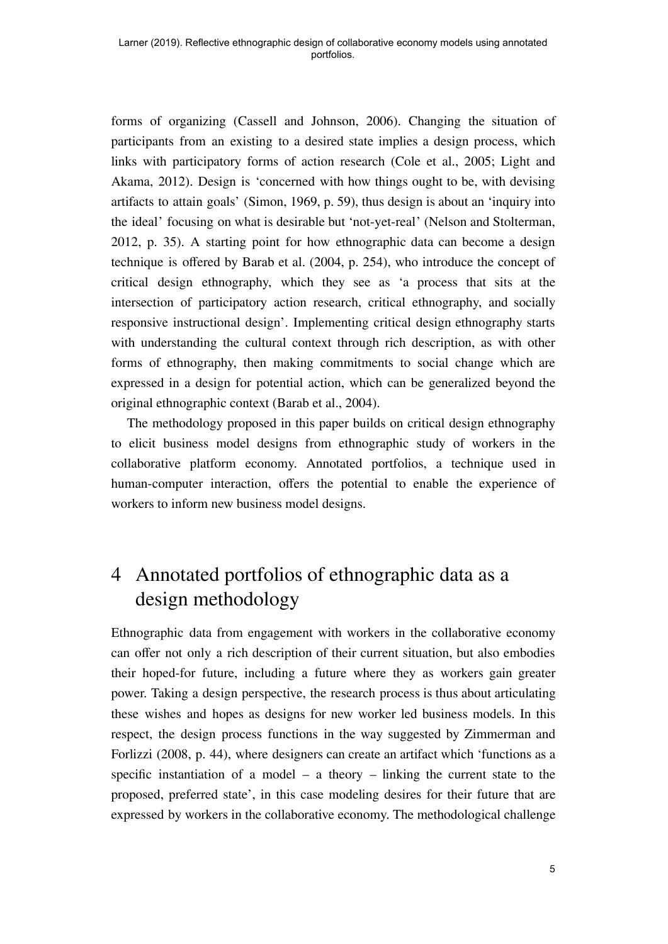forms of organizing (Cassell and Johnson, 2006). Changing the situation of participants from an existing to a desired state implies a design process, which links with participatory forms of action research (Cole et al., 2005; Light and Akama, 2012). Design is 'concerned with how things ought to be, with devising artifacts to attain goals' (Simon, 1969, p. 59), thus design is about an 'inquiry into the ideal' focusing on what is desirable but 'not-yet-real' (Nelson and Stolterman, 2012, p. 35). A starting point for how ethnographic data can become a design technique is offered by Barab et al. (2004, p. 254), who introduce the concept of critical design ethnography, which they see as 'a process that sits at the intersection of participatory action research, critical ethnography, and socially responsive instructional design'. Implementing critical design ethnography starts with understanding the cultural context through rich description, as with other forms of ethnography, then making commitments to social change which are expressed in a design for potential action, which can be generalized beyond the original ethnographic context (Barab et al., 2004).

The methodology proposed in this paper builds on critical design ethnography to elicit business model designs from ethnographic study of workers in the collaborative platform economy. Annotated portfolios, a technique used in human-computer interaction, offers the potential to enable the experience of workers to inform new business model designs.

## 4 Annotated portfolios of ethnographic data as a design methodology

Ethnographic data from engagement with workers in the collaborative economy can offer not only a rich description of their current situation, but also embodies their hoped-for future, including a future where they as workers gain greater power. Taking a design perspective, the research process is thus about articulating these wishes and hopes as designs for new worker led business models. In this respect, the design process functions in the way suggested by Zimmerman and Forlizzi (2008, p. 44), where designers can create an artifact which 'functions as a specific instantiation of a model – a theory – linking the current state to the proposed, preferred state', in this case modeling desires for their future that are expressed by workers in the collaborative economy. The methodological challenge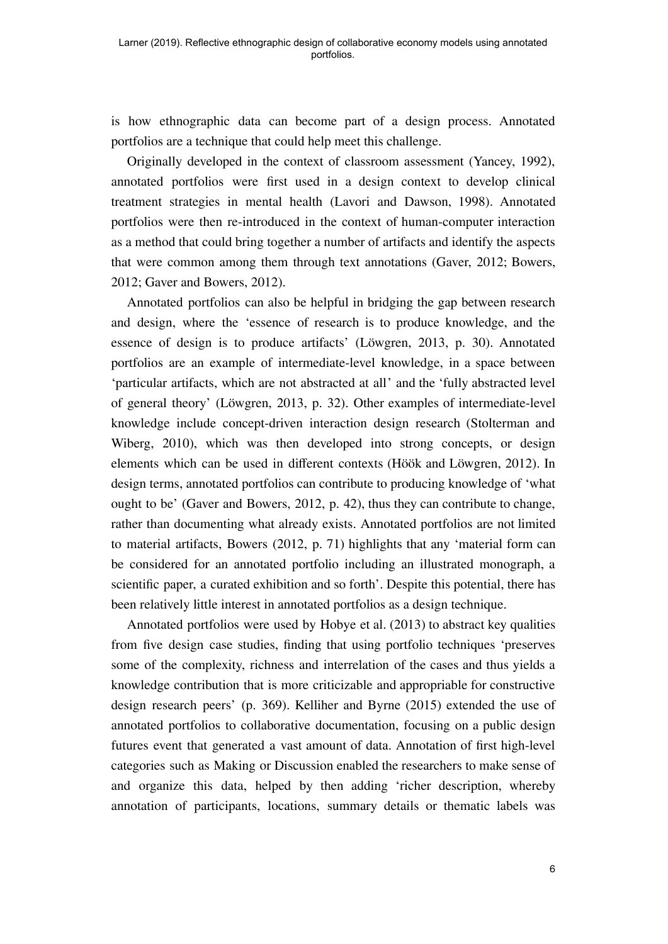is how ethnographic data can become part of a design process. Annotated portfolios are a technique that could help meet this challenge.

Originally developed in the context of classroom assessment (Yancey, 1992), annotated portfolios were first used in a design context to develop clinical treatment strategies in mental health (Lavori and Dawson, 1998). Annotated portfolios were then re-introduced in the context of human-computer interaction as a method that could bring together a number of artifacts and identify the aspects that were common among them through text annotations (Gaver, 2012; Bowers, 2012; Gaver and Bowers, 2012).

Annotated portfolios can also be helpful in bridging the gap between research and design, where the 'essence of research is to produce knowledge, and the essence of design is to produce artifacts' (Löwgren, 2013, p. 30). Annotated portfolios are an example of intermediate-level knowledge, in a space between 'particular artifacts, which are not abstracted at all' and the 'fully abstracted level of general theory' (Löwgren, 2013, p. 32). Other examples of intermediate-level knowledge include concept-driven interaction design research (Stolterman and Wiberg, 2010), which was then developed into strong concepts, or design elements which can be used in different contexts (Höök and Löwgren, 2012). In design terms, annotated portfolios can contribute to producing knowledge of 'what ought to be' (Gaver and Bowers, 2012, p. 42), thus they can contribute to change, rather than documenting what already exists. Annotated portfolios are not limited to material artifacts, Bowers (2012, p. 71) highlights that any 'material form can be considered for an annotated portfolio including an illustrated monograph, a scientific paper, a curated exhibition and so forth'. Despite this potential, there has been relatively little interest in annotated portfolios as a design technique.

Annotated portfolios were used by Hobye et al. (2013) to abstract key qualities from five design case studies, finding that using portfolio techniques 'preserves some of the complexity, richness and interrelation of the cases and thus yields a knowledge contribution that is more criticizable and appropriable for constructive design research peers' (p. 369). Kelliher and Byrne (2015) extended the use of annotated portfolios to collaborative documentation, focusing on a public design futures event that generated a vast amount of data. Annotation of first high-level categories such as Making or Discussion enabled the researchers to make sense of and organize this data, helped by then adding 'richer description, whereby annotation of participants, locations, summary details or thematic labels was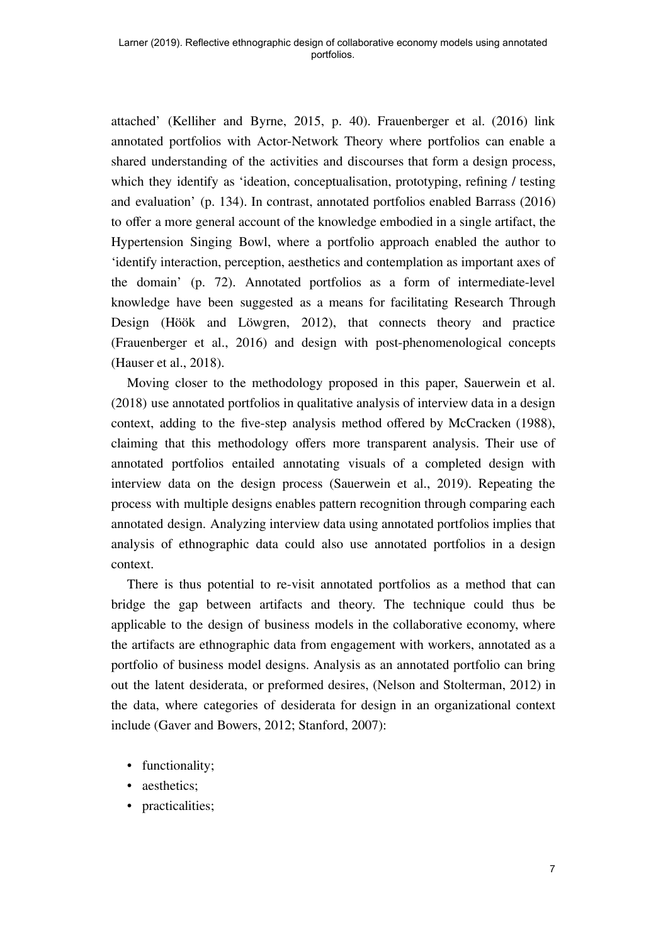attached' (Kelliher and Byrne, 2015, p. 40). Frauenberger et al. (2016) link annotated portfolios with Actor-Network Theory where portfolios can enable a shared understanding of the activities and discourses that form a design process, which they identify as 'ideation, conceptualisation, prototyping, refining / testing and evaluation' (p. 134). In contrast, annotated portfolios enabled Barrass (2016) to offer a more general account of the knowledge embodied in a single artifact, the Hypertension Singing Bowl, where a portfolio approach enabled the author to 'identify interaction, perception, aesthetics and contemplation as important axes of the domain' (p. 72). Annotated portfolios as a form of intermediate-level knowledge have been suggested as a means for facilitating Research Through Design (Höök and Löwgren, 2012), that connects theory and practice (Frauenberger et al., 2016) and design with post-phenomenological concepts (Hauser et al., 2018).

Moving closer to the methodology proposed in this paper, Sauerwein et al. (2018) use annotated portfolios in qualitative analysis of interview data in a design context, adding to the five-step analysis method offered by McCracken (1988), claiming that this methodology offers more transparent analysis. Their use of annotated portfolios entailed annotating visuals of a completed design with interview data on the design process (Sauerwein et al., 2019). Repeating the process with multiple designs enables pattern recognition through comparing each annotated design. Analyzing interview data using annotated portfolios implies that analysis of ethnographic data could also use annotated portfolios in a design context.

There is thus potential to re-visit annotated portfolios as a method that can bridge the gap between artifacts and theory. The technique could thus be applicable to the design of business models in the collaborative economy, where the artifacts are ethnographic data from engagement with workers, annotated as a portfolio of business model designs. Analysis as an annotated portfolio can bring out the latent desiderata, or preformed desires, (Nelson and Stolterman, 2012) in the data, where categories of desiderata for design in an organizational context include (Gaver and Bowers, 2012; Stanford, 2007):

- functionality;
- aesthetics;
- practicalities;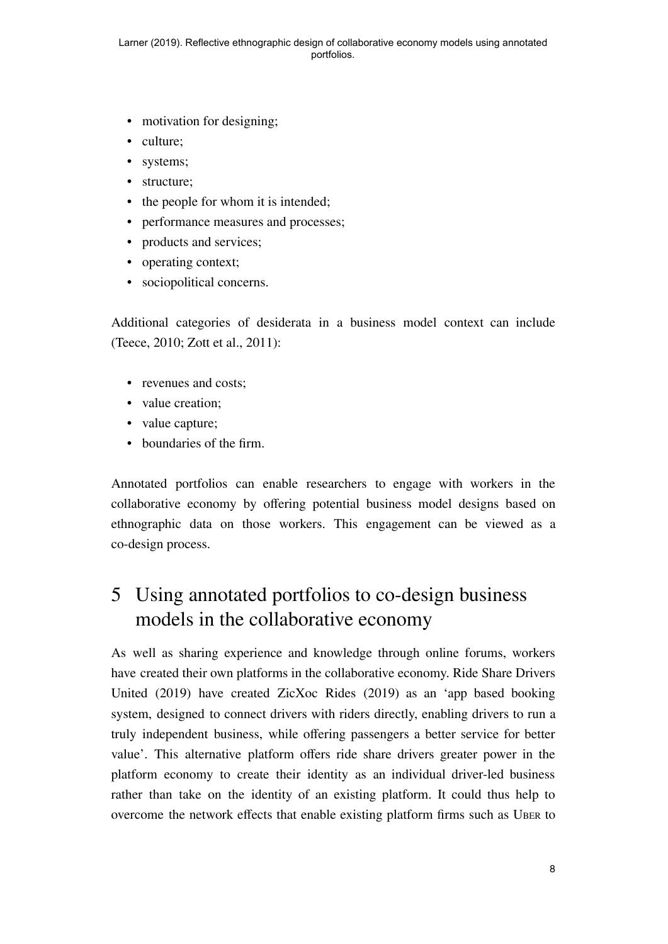- motivation for designing;
- culture;
- systems;
- structure;
- the people for whom it is intended;
- performance measures and processes;
- products and services;
- operating context;
- sociopolitical concerns.

Additional categories of desiderata in a business model context can include (Teece, 2010; Zott et al., 2011):

- revenues and costs;
- value creation;
- value capture;
- boundaries of the firm.

Annotated portfolios can enable researchers to engage with workers in the collaborative economy by offering potential business model designs based on ethnographic data on those workers. This engagement can be viewed as a co-design process.

## 5 Using annotated portfolios to co-design business models in the collaborative economy

As well as sharing experience and knowledge through online forums, workers have created their own platforms in the collaborative economy. Ride Share Drivers United (2019) have created ZicXoc Rides (2019) as an 'app based booking system, designed to connect drivers with riders directly, enabling drivers to run a truly independent business, while offering passengers a better service for better value'. This alternative platform offers ride share drivers greater power in the platform economy to create their identity as an individual driver-led business rather than take on the identity of an existing platform. It could thus help to overcome the network effects that enable existing platform firms such as UBER to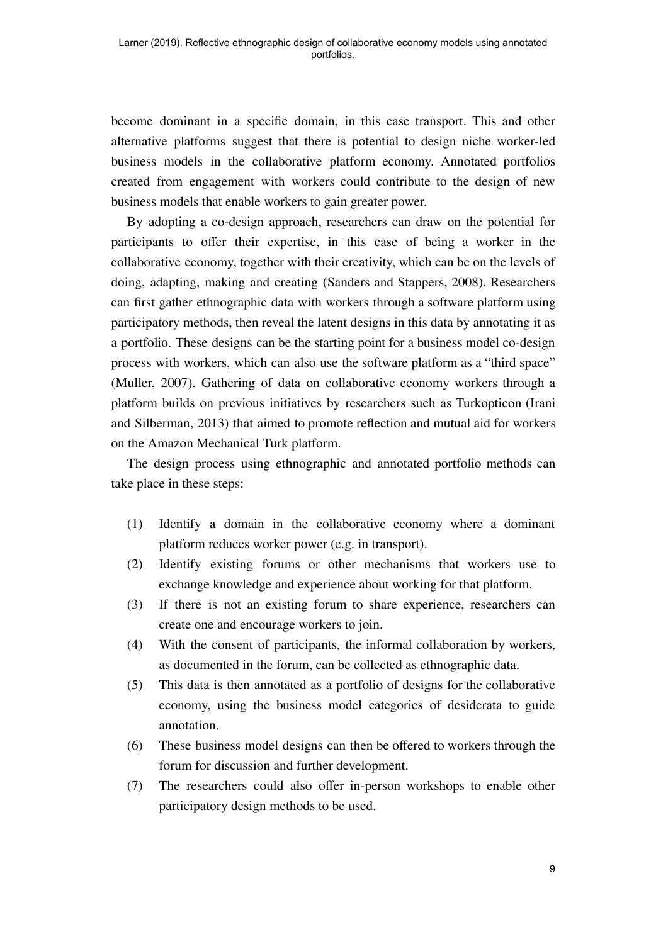become dominant in a specific domain, in this case transport. This and other alternative platforms suggest that there is potential to design niche worker-led business models in the collaborative platform economy. Annotated portfolios created from engagement with workers could contribute to the design of new business models that enable workers to gain greater power.

By adopting a co-design approach, researchers can draw on the potential for participants to offer their expertise, in this case of being a worker in the collaborative economy, together with their creativity, which can be on the levels of doing, adapting, making and creating (Sanders and Stappers, 2008). Researchers can first gather ethnographic data with workers through a software platform using participatory methods, then reveal the latent designs in this data by annotating it as a portfolio. These designs can be the starting point for a business model co-design process with workers, which can also use the software platform as a "third space" (Muller, 2007). Gathering of data on collaborative economy workers through a platform builds on previous initiatives by researchers such as Turkopticon (Irani and Silberman, 2013) that aimed to promote reflection and mutual aid for workers on the Amazon Mechanical Turk platform.

The design process using ethnographic and annotated portfolio methods can take place in these steps:

- (1) Identify a domain in the collaborative economy where a dominant platform reduces worker power (e.g. in transport).
- (2) Identify existing forums or other mechanisms that workers use to exchange knowledge and experience about working for that platform.
- (3) If there is not an existing forum to share experience, researchers can create one and encourage workers to join.
- (4) With the consent of participants, the informal collaboration by workers, as documented in the forum, can be collected as ethnographic data.
- (5) This data is then annotated as a portfolio of designs for the collaborative economy, using the business model categories of desiderata to guide annotation.
- (6) These business model designs can then be offered to workers through the forum for discussion and further development.
- (7) The researchers could also offer in-person workshops to enable other participatory design methods to be used.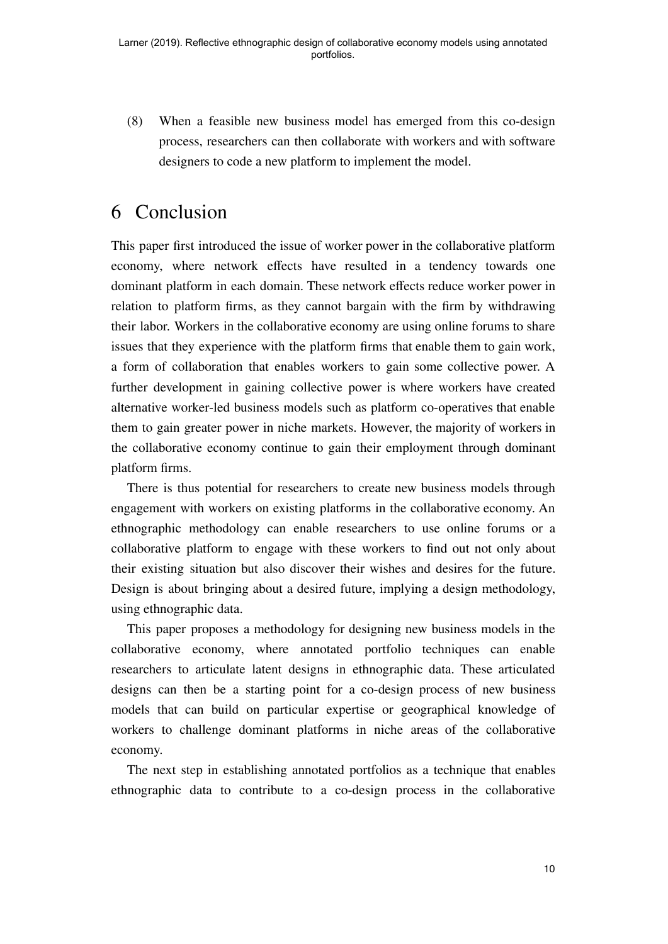(8) When a feasible new business model has emerged from this co-design process, researchers can then collaborate with workers and with software designers to code a new platform to implement the model.

#### 6 Conclusion

This paper first introduced the issue of worker power in the collaborative platform economy, where network effects have resulted in a tendency towards one dominant platform in each domain. These network effects reduce worker power in relation to platform firms, as they cannot bargain with the firm by withdrawing their labor. Workers in the collaborative economy are using online forums to share issues that they experience with the platform firms that enable them to gain work, a form of collaboration that enables workers to gain some collective power. A further development in gaining collective power is where workers have created alternative worker-led business models such as platform co-operatives that enable them to gain greater power in niche markets. However, the majority of workers in the collaborative economy continue to gain their employment through dominant platform firms.

There is thus potential for researchers to create new business models through engagement with workers on existing platforms in the collaborative economy. An ethnographic methodology can enable researchers to use online forums or a collaborative platform to engage with these workers to find out not only about their existing situation but also discover their wishes and desires for the future. Design is about bringing about a desired future, implying a design methodology, using ethnographic data.

This paper proposes a methodology for designing new business models in the collaborative economy, where annotated portfolio techniques can enable researchers to articulate latent designs in ethnographic data. These articulated designs can then be a starting point for a co-design process of new business models that can build on particular expertise or geographical knowledge of workers to challenge dominant platforms in niche areas of the collaborative economy.

The next step in establishing annotated portfolios as a technique that enables ethnographic data to contribute to a co-design process in the collaborative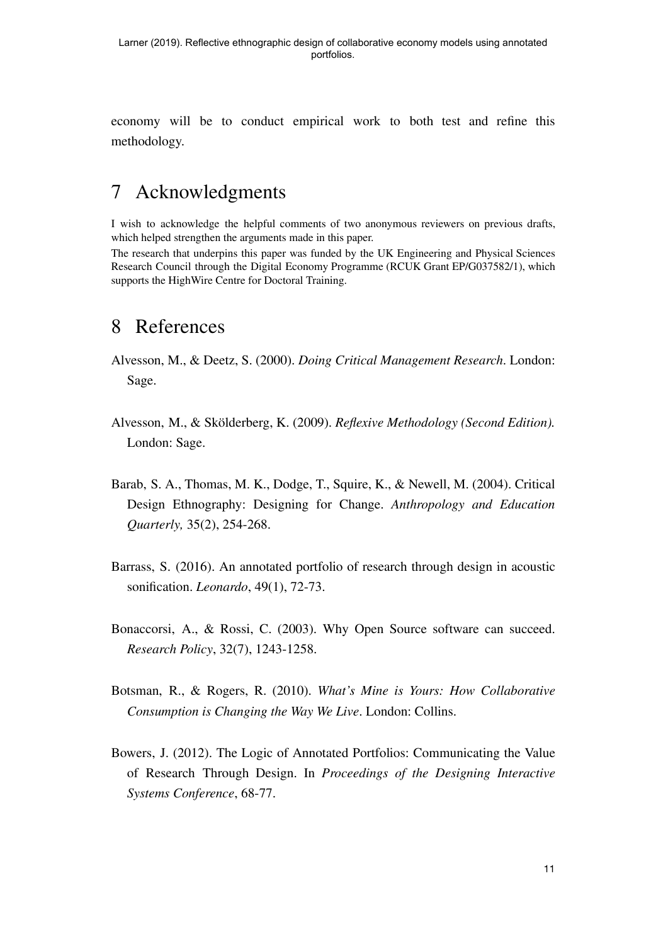economy will be to conduct empirical work to both test and refine this methodology.

#### 7 Acknowledgments

I wish to acknowledge the helpful comments of two anonymous reviewers on previous drafts, which helped strengthen the arguments made in this paper.

The research that underpins this paper was funded by the UK Engineering and Physical Sciences Research Council through the Digital Economy Programme (RCUK Grant EP/G037582/1), which supports the HighWire Centre for Doctoral Training.

#### 8 References

- Alvesson, M., & Deetz, S. (2000). *Doing Critical Management Research* . London: Sage.
- Alvesson, M., & Skölderberg, K. (2009). *Reflexive Methodology (Second Edition).* London: Sage.
- Barab, S. A., Thomas, M. K., Dodge, T., Squire, K., & Newell, M. (2004). Critical Design Ethnography: Designing for Change. *Anthropology and Education Quarterly,* 35(2), 254-268.
- Barrass, S. (2016). An annotated portfolio of research through design in acoustic sonification. *Leonardo*, 49(1), 72-73.
- Bonaccorsi, A., & Rossi, C. (2003). Why Open Source software can succeed. *Research Policy*, 32(7), 1243-1258.
- Botsman, R., & Rogers, R. (2010). *What's Mine is Yours: How Collaborative Consumption is Changing the Way We Live*. London: Collins.
- Bowers, J. (2012). The Logic of Annotated Portfolios: Communicating the Value of Research Through Design. In *Proceedings of the Designing Interactive Systems Conference*, 68-77.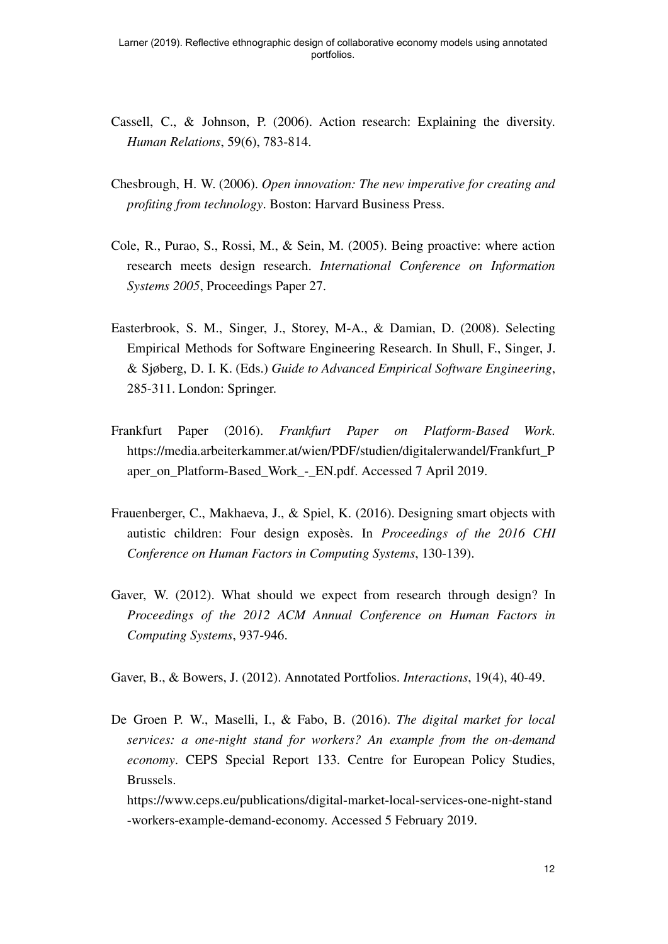- Cassell, C., & Johnson, P. (2006). Action research: Explaining the diversity. *Human Relations*, 59(6), 783-814.
- Chesbrough, H. W. (2006). *Open innovation: The new imperative for creating and profiting from technology*. Boston: Harvard Business Press.
- Cole, R., Purao, S., Rossi, M., & Sein, M. (2005). Being proactive: where action research meets design research. *International Conference on Information Systems 2005* , Proceedings Paper 27.
- Easterbrook, S. M., Singer, J., Storey, M-A., & Damian, D. (2008). Selecting Empirical Methods for Software Engineering Research. In Shull, F., Singer, J. & Sjøberg, D. I. K. (Eds.) *Guide to Advanced Empirical Software Engineering* , 285-311. London: Springer.
- Frankfurt Paper (2016). *Frankfurt Paper on Platform-Based Work*. https://media.arbeiterkammer.at/wien/PDF/studien/digitalerwandel/Frankfurt\_P aper\_on\_Platform-Based\_Work\_-\_EN.pdf. Accessed 7 April 2019.
- Frauenberger, C., Makhaeva, J., & Spiel, K. (2016). Designing smart objects with autistic children: Four design exposès. In *Proceedings of the 2016 CHI Conference on Human Factors in Computing Systems*, 130-139).
- Gaver, W. (2012). What should we expect from research through design? In *Proceedings of the 2012 ACM Annual Conference on Human Factors in Computing Systems*, 937-946.

Gaver, B., & Bowers, J. (2012). Annotated Portfolios. *Interactions*, 19(4), 40-49.

De Groen P. W., Maselli, I., & Fabo, B. (2016). *The digital market for local services: a one-night stand for workers? An example from the on-demand economy*. CEPS Special Report 133. Centre for European Policy Studies, Brussels.

https://www.ceps.eu/publications/digital-market-local-services-one-night-stand -workers-example-demand-economy. Accessed 5 February 2019.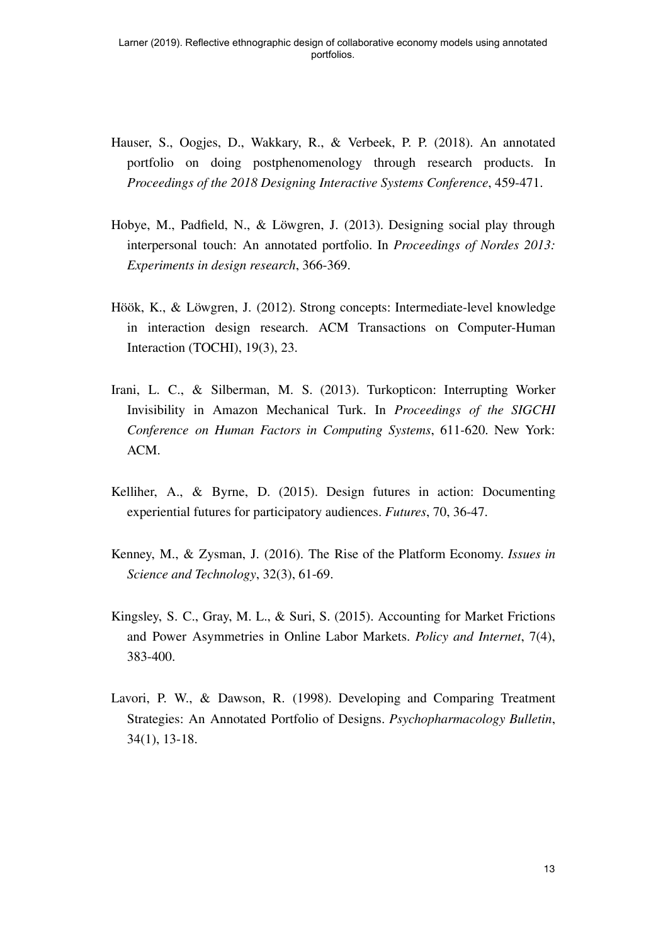- Hauser, S., Oogjes, D., Wakkary, R., & Verbeek, P. P. (2018). An annotated portfolio on doing postphenomenology through research products. In *Proceedings of the 2018 Designing Interactive Systems Conference*, 459-471.
- Hobye, M., Padfield, N., & Löwgren, J. (2013). Designing social play through interpersonal touch: An annotated portfolio. In *Proceedings of Nordes 2013: Experiments in design research* , 366-369.
- Höök, K., & Löwgren, J. (2012). Strong concepts: Intermediate-level knowledge in interaction design research. ACM Transactions on Computer-Human Interaction (TOCHI), 19(3), 23.
- Irani, L. C., & Silberman, M. S. (2013). Turkopticon: Interrupting Worker Invisibility in Amazon Mechanical Turk. In *Proceedings of the SIGCHI Conference on Human Factors in Computing Systems*, 611-620. New York: ACM.
- Kelliher, A., & Byrne, D. (2015). Design futures in action: Documenting experiential futures for participatory audiences. *Futures*, 70, 36-47.
- Kenney, M., & Zysman, J. (2016). The Rise of the Platform Economy. *Issues in Science and Technology*, 32(3), 61-69.
- Kingsley, S. C., Gray, M. L., & Suri, S. (2015). Accounting for Market Frictions and Power Asymmetries in Online Labor Markets. *Policy and Internet*, 7(4), 383-400.
- Lavori, P. W., & Dawson, R. (1998). Developing and Comparing Treatment Strategies: An Annotated Portfolio of Designs. *Psychopharmacology Bulletin* , 34(1), 13-18.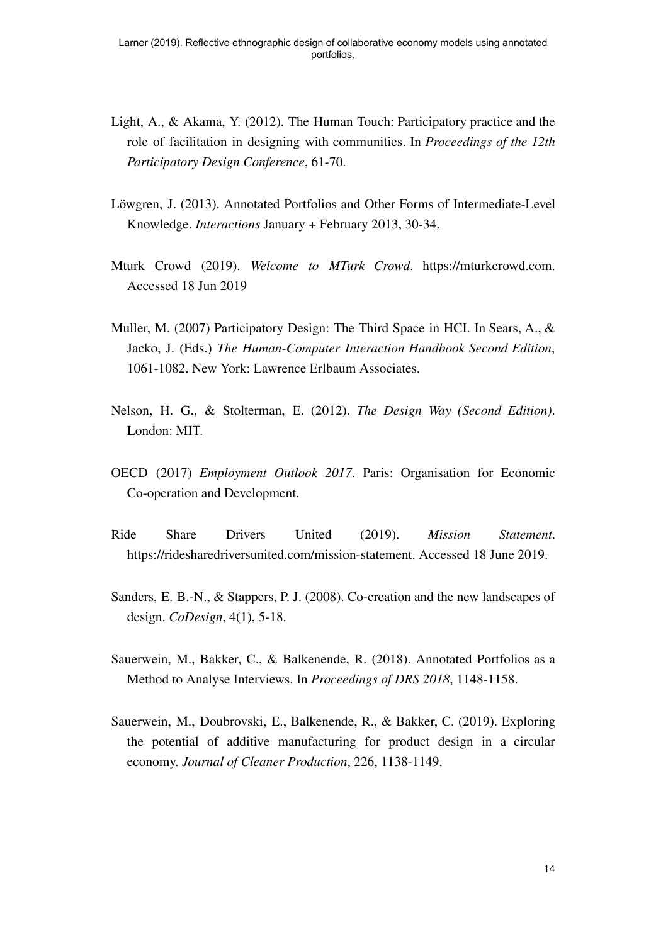- Light, A., & Akama, Y. (2012). The Human Touch: Participatory practice and the role of facilitation in designing with communities. In *Proceedings of the 12th Participatory Design Conference*, 61-70.
- Löwgren, J. (2013). Annotated Portfolios and Other Forms of Intermediate-Level Knowledge. *Interactions* January + February 2013, 30-34.
- Mturk Crowd (2019). *Welcome to MTurk Crowd* . https://mturkcrowd.com. Accessed 18 Jun 2019
- Muller, M. (2007) Participatory Design: The Third Space in HCI. In Sears, A., & Jacko, J. (Eds.) *The Human-Computer Interaction Handbook Second Edition* , 1061-1082. New York: Lawrence Erlbaum Associates.
- Nelson, H. G., & Stolterman, E. (2012). *The Design Way (Second Edition)*. London: MIT.
- OECD (2017) *Employment Outlook 2017* . Paris: Organisation for Economic Co-operation and Development.
- Ride Share Drivers United (2019). *Mission Statement*. https://ridesharedriversunited.com/mission-statement. Accessed 18 June 2019.
- Sanders, E. B.-N., & Stappers, P. J. (2008). Co-creation and the new landscapes of design. *CoDesign*, 4(1), 5-18.
- Sauerwein, M., Bakker, C., & Balkenende, R. (2018). Annotated Portfolios as a Method to Analyse Interviews. In *Proceedings of DRS 2018* , 1148-1158.
- Sauerwein, M., Doubrovski, E., Balkenende, R., & Bakker, C. (2019). Exploring the potential of additive manufacturing for product design in a circular economy. *Journal of Cleaner Production* , 226, 1138-1149.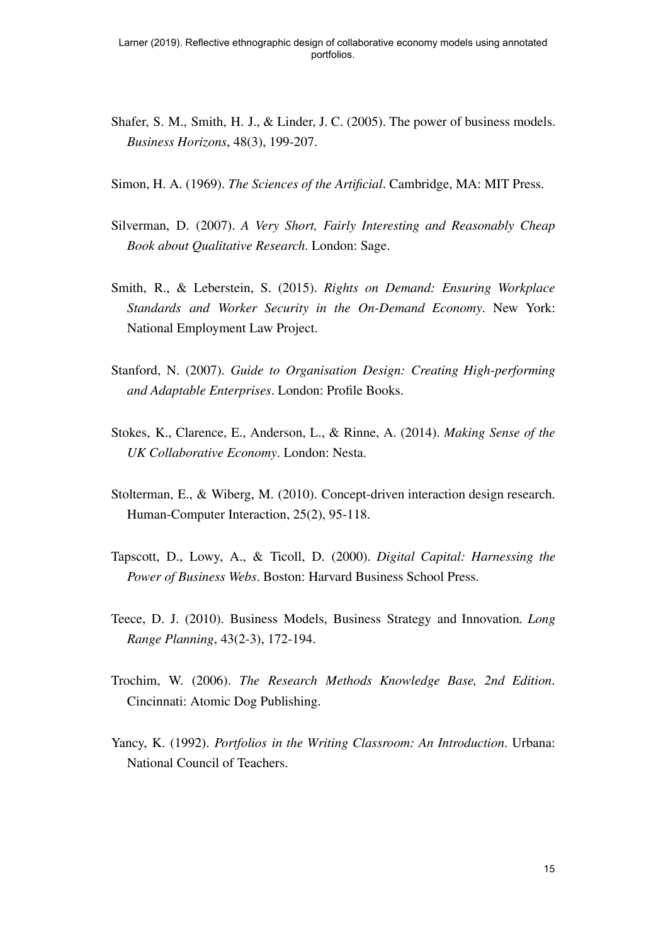- Shafer, S. M., Smith, H. J., & Linder, J. C. (2005). The power of business models. *Business Horizons*, 48(3), 199-207.
- Simon, H. A. (1969). *The Sciences of the Artificial*. Cambridge, MA: MIT Press.
- Silverman, D. (2007). *A Very Short, Fairly Interesting and Reasonably Cheap Book about Qualitative Research* . London: Sage.
- Smith, R., & Leberstein, S. (2015). *Rights on Demand: Ensuring Workplace Standards and Worker Security in the On-Demand Economy*. New York: National Employment Law Project.
- Stanford, N. (2007). *Guide to Organisation Design: Creating High-performing and Adaptable Enterprises*. London: Profile Books.
- Stokes, K., Clarence, E., Anderson, L., & Rinne, A. (2014). *Making Sense of the UK Collaborative Economy*. London: Nesta.
- Stolterman, E., & Wiberg, M. (2010). Concept-driven interaction design research. Human-Computer Interaction, 25(2), 95-118.
- Tapscott, D., Lowy, A., & Ticoll, D. (2000). *Digital Capital: Harnessing the Power of Business Webs*. Boston: Harvard Business School Press.
- Teece, D. J. (2010). Business Models, Business Strategy and Innovation *. Long Range Planning* , 43(2-3), 172-194.
- Trochim, W. (2006). *The Research Methods Knowledge Base, 2nd Edition* . Cincinnati: Atomic Dog Publishing.
- Yancy, K. (1992). *Portfolios in the Writing Classroom: An Introduction* . Urbana: National Council of Teachers.